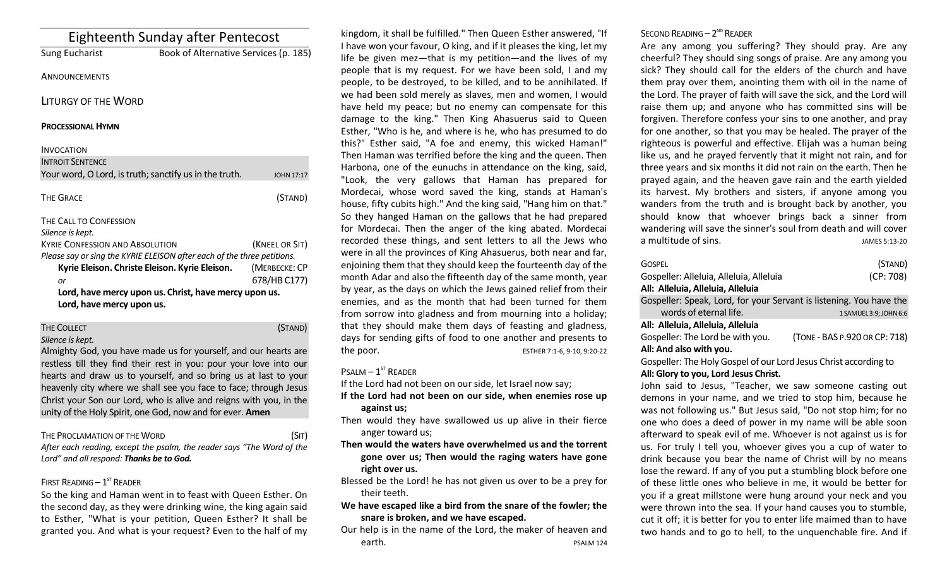|                                                        | <b>Eighteenth Sunday after Pentecost</b>                                |  |
|--------------------------------------------------------|-------------------------------------------------------------------------|--|
| Sung Eucharist                                         | Book of Alternative Services (p. 185)                                   |  |
| ANNOUNCEMENTS                                          |                                                                         |  |
| <b>LITURGY OF THE WORD</b>                             |                                                                         |  |
| <b>PROCESSIONAL HYMN</b>                               |                                                                         |  |
| <b>INVOCATION</b>                                      |                                                                         |  |
| <b>INTROIT SENTENCE</b>                                |                                                                         |  |
| Your word, O Lord, is truth; sanctify us in the truth. | <b>JOHN 17:17</b>                                                       |  |
| <b>THE GRACE</b>                                       | (STAND)                                                                 |  |
| THE CALL TO CONFESSION                                 |                                                                         |  |
| Silence is kept.                                       |                                                                         |  |
| <b>KYRIE CONFESSION AND ABSOLUTION</b>                 | (KNEEL OR SIT)                                                          |  |
|                                                        | Please say or sing the KYRIE ELEISON after each of the three petitions. |  |
| Kyrie Eleison. Christe Eleison. Kyrie Eleison.         | (MERBECKE: CP                                                           |  |
| or                                                     | 678/HB C177)                                                            |  |
| Lord, have mercy upon us. Christ, have mercy upon us.  |                                                                         |  |
| Lord, have mercy upon us.                              |                                                                         |  |

## THE COLLECT **THE COLLECT COLLECT COLLECT COLLECT COLLECT COLLECT COLLECT COLLECT COLLECT COLLECT**

*Silence is kept.*

Almighty God, you have made us for yourself, and our hearts are restless till they find their rest in you: pour your love into our hearts and draw us to yourself, and so bring us at last to your heavenly city where we shall see you face to face; through Jesus Christ your Son our Lord, who is alive and reigns with you, in the unity of the Holy Spirit, one God, now and for ever. **Amen**

#### THE PROCLAMATION OF THE WORD (SIT)

*After each reading, except the psalm, the reader says "The Word of the Lord" and all respond: Thanks be to God.* 

#### FIRST READING  $-1<sup>ST</sup>$  READER

So the king and Haman went in to feast with Queen Esther. On the second day, as they were drinking wine, the king again said to Esther, "What is your petition, Queen Esther? It shall be granted you. And what is your request? Even to the half of my

kingdom, it shall be fulfilled." Then Queen Esther answered, "If I have won your favour, O king, and if it pleases the king, let my life be given mez—that is my petition—and the lives of my people that is my request. For we have been sold, I and my people, to be destroyed, to be killed, and to be annihilated. If we had been sold merely as slaves, men and women, I would have held my peace; but no enemy can compensate for this damage to the king." Then King Ahasuerus said to Queen Esther, "Who is he, and where is he, who has presumed to do this?" Esther said, "A foe and enemy, this wicked Haman!" Then Haman was terrified before the king and the queen. Then Harbona, one of the eunuchs in attendance on the king, said, "Look, the very gallows that Haman has prepared for Mordecai, whose word saved the king, stands at Haman's house, fifty cubits high." And the king said, "Hang him on that." So they hanged Haman on the gallows that he had prepared for Mordecai. Then the anger of the king abated. Mordecai recorded these things, and sent letters to all the Jews who were in all the provinces of King Ahasuerus, both near and far, enjoining them that they should keep the fourteenth day of the month Adar and also the fifteenth day of the same month, year by year, as the days on which the Jews gained relief from their enemies, and as the month that had been turned for them from sorrow into gladness and from mourning into a holiday; that they should make them days of feasting and gladness, days for sending gifts of food to one another and presents to the poor. ESTHER 7:1-6, 9-10, 9:20-22

#### $P$ SALM –  $1^{ST}$  READER

If the Lord had not been on our side, let Israel now say;

- **If the Lord had not been on our side, when enemies rose up against us;**
- Then would they have swallowed us up alive in their fierce anger toward us;
- **Then would the waters have overwhelmed us and the torrent gone over us; Then would the raging waters have gone right over us.**
- Blessed be the Lord! he has not given us over to be a prey for their teeth.
- **We have escaped like a bird from the snare of the fowler; the snare is broken, and we have escaped.**
- Our help is in the name of the Lord, the maker of heaven and earth. **PSALM 124**

### SECOND READING  $-2^{ND}$  READER

Are any among you suffering? They should pray. Are any cheerful? They should sing songs of praise. Are any among you sick? They should call for the elders of the church and have them pray over them, anointing them with oil in the name of the Lord. The prayer of faith will save the sick, and the Lord will raise them up; and anyone who has committed sins will be forgiven. Therefore confess your sins to one another, and pray for one another, so that you may be healed. The prayer of the righteous is powerful and effective. Elijah was a human being like us, and he prayed fervently that it might not rain, and for three years and six months it did not rain on the earth. Then he prayed again, and the heaven gave rain and the earth yielded its harvest. My brothers and sisters, if anyone among you wanders from the truth and is brought back by another, you should know that whoever brings back a sinner from wandering will save the sinner's soul from death and will cover a multitude of sins. And the state of sins.

| <b>GOSPEL</b><br>Gospeller: Alleluia, Alleluia, Alleluia            | (STAND)<br>(CP: 708)          |  |
|---------------------------------------------------------------------|-------------------------------|--|
| All: Alleluia, Alleluia, Alleluia                                   |                               |  |
| Gospeller: Speak, Lord, for your Servant is listening. You have the |                               |  |
| words of eternal life.                                              | 1 SAMUEL 3:9; JOHN 6:6        |  |
| All: Alleluia, Alleluia, Alleluia                                   |                               |  |
| Gospeller: The Lord be with you.                                    | (TONE - BAS P.920 OR CP: 718) |  |
| All: And also with you.                                             |                               |  |
| Gospeller: The Holy Gospel of our Lord Jesus Christ according to    |                               |  |
| Alli Clanita vou Lard Josus Christ                                  |                               |  |

#### **All: Glory to you, Lord Jesus Christ.**

John said to Jesus, "Teacher, we saw someone casting out demons in your name, and we tried to stop him, because he was not following us." But Jesus said, "Do not stop him; for no one who does a deed of power in my name will be able soon afterward to speak evil of me. Whoever is not against us is for us. For truly I tell you, whoever gives you a cup of water to drink because you bear the name of Christ will by no means lose the reward. If any of you put a stumbling block before one of these little ones who believe in me, it would be better for you if a great millstone were hung around your neck and you were thrown into the sea. If your hand causes you to stumble, cut it off; it is better for you to enter life maimed than to have two hands and to go to hell, to the unquenchable fire. And if